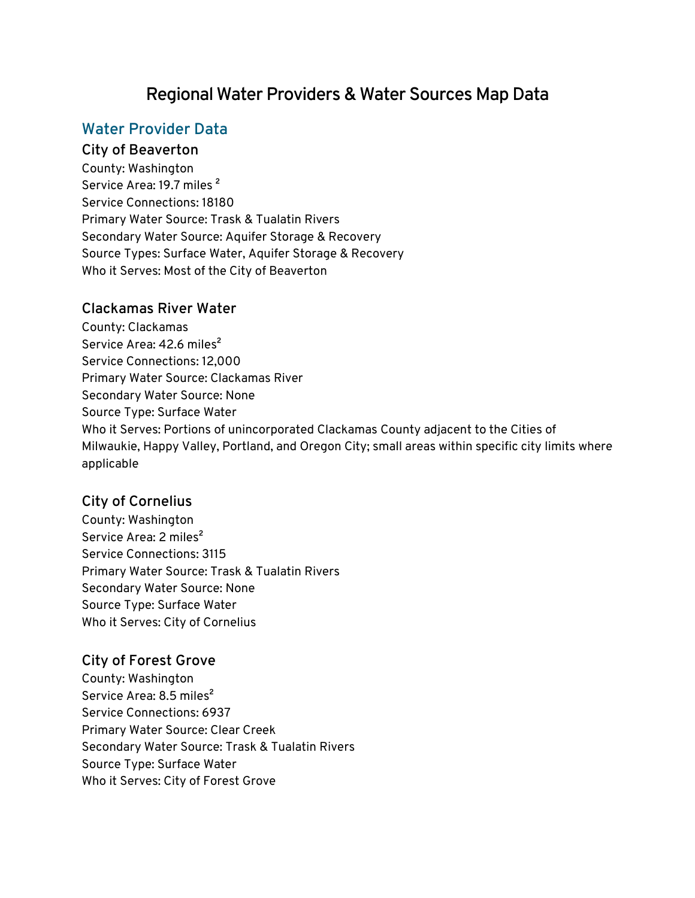# **Regional Water Providers & Water Sources Map Data**

# **Water Provider Data**

#### **City of Beaverton**

County: Washington Service Area: 19.7 miles<sup>2</sup> Service Connections: 18180 Primary Water Source: Trask & Tualatin Rivers Secondary Water Source: Aquifer Storage & Recovery Source Types: Surface Water, Aquifer Storage & Recovery Who it Serves: Most of the City of Beaverton

#### **Clackamas River Water**

County: Clackamas Service Area: 42.6 miles<sup>2</sup> Service Connections: 12,000 Primary Water Source: Clackamas River Secondary Water Source: None Source Type: Surface Water Who it Serves: Portions of unincorporated Clackamas County adjacent to the Cities of Milwaukie, Happy Valley, Portland, and Oregon City; small areas within specific city limits where applicable

#### **City of Cornelius**

County: Washington Service Area: 2 miles<sup>2</sup> Service Connections: 3115 Primary Water Source: Trask & Tualatin Rivers Secondary Water Source: None Source Type: Surface Water Who it Serves: City of Cornelius

### **City of Forest Grove**

County: Washington Service Area: 8.5 miles<sup>2</sup> Service Connections: 6937 Primary Water Source: Clear Creek Secondary Water Source: Trask & Tualatin Rivers Source Type: Surface Water Who it Serves: City of Forest Grove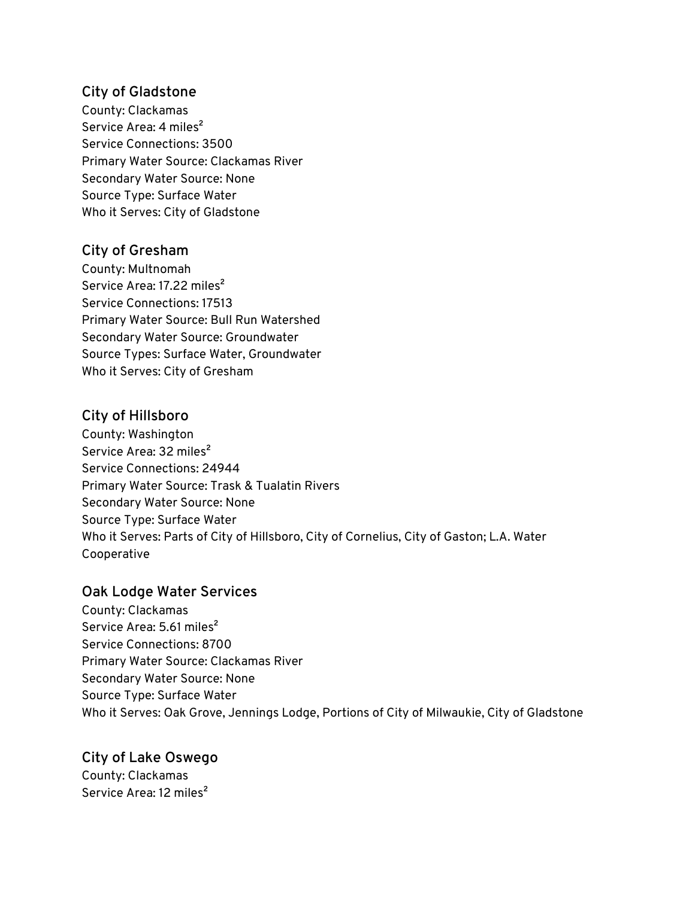### **City of Gladstone**

County: Clackamas Service Area: 4 miles<sup>2</sup> Service Connections: 3500 Primary Water Source: Clackamas River Secondary Water Source: None Source Type: Surface Water Who it Serves: City of Gladstone

### **City of Gresham**

County: Multnomah Service Area: 17.22 miles<sup>2</sup> Service Connections: 17513 Primary Water Source: Bull Run Watershed Secondary Water Source: Groundwater Source Types: Surface Water, Groundwater Who it Serves: City of Gresham

### **City of Hillsboro**

County: Washington Service Area: 32 miles<sup>2</sup> Service Connections: 24944 Primary Water Source: Trask & Tualatin Rivers Secondary Water Source: None Source Type: Surface Water Who it Serves: Parts of City of Hillsboro, City of Cornelius, City of Gaston; L.A. Water Cooperative

### **Oak Lodge Water Services**

County: Clackamas Service Area: 5.61 miles<sup>2</sup> Service Connections: 8700 Primary Water Source: Clackamas River Secondary Water Source: None Source Type: Surface Water Who it Serves: Oak Grove, Jennings Lodge, Portions of City of Milwaukie, City of Gladstone

# **City of Lake Oswego**

County: Clackamas Service Area: 12 miles<sup>2</sup>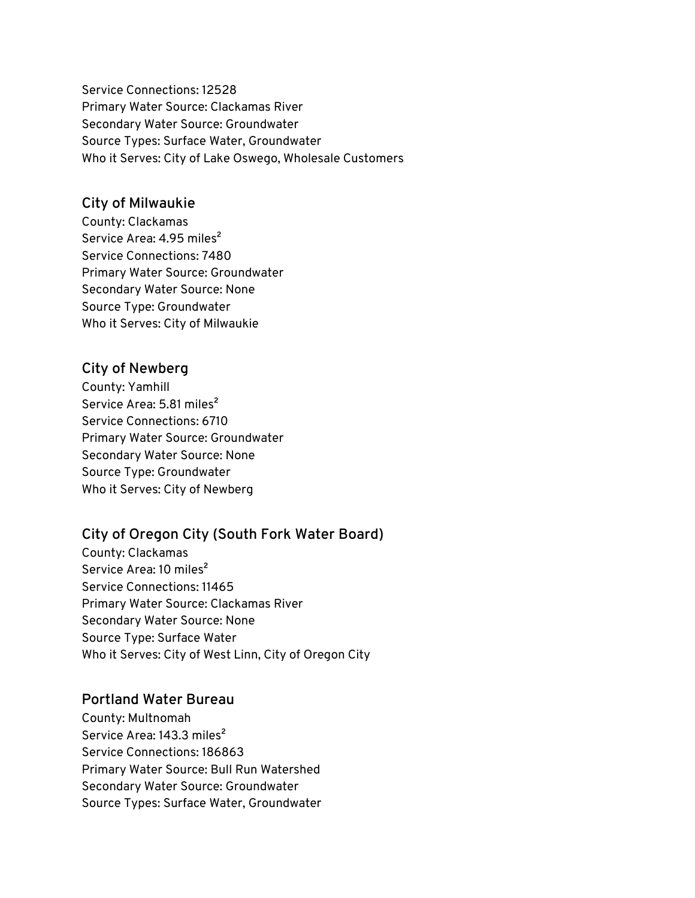Service Connections: 12528 Primary Water Source: Clackamas River Secondary Water Source: Groundwater Source Types: Surface Water, Groundwater Who it Serves: City of Lake Oswego, Wholesale Customers

#### **City of Milwaukie**

County: Clackamas Service Area: 4.95 miles<sup>2</sup> Service Connections: 7480 Primary Water Source: Groundwater Secondary Water Source: None Source Type: Groundwater Who it Serves: City of Milwaukie

### **City of Newberg**

County: Yamhill Service Area: 5.81 miles<sup>2</sup> Service Connections: 6710 Primary Water Source: Groundwater Secondary Water Source: None Source Type: Groundwater Who it Serves: City of Newberg

### **City of Oregon City (South Fork Water Board)**

County: Clackamas Service Area: 10 miles<sup>2</sup> Service Connections: 11465 Primary Water Source: Clackamas River Secondary Water Source: None Source Type: Surface Water Who it Serves: City of West Linn, City of Oregon City

### **Portland Water Bureau**

County: Multnomah Service Area: 143.3 miles<sup>2</sup> Service Connections: 186863 Primary Water Source: Bull Run Watershed Secondary Water Source: Groundwater Source Types: Surface Water, Groundwater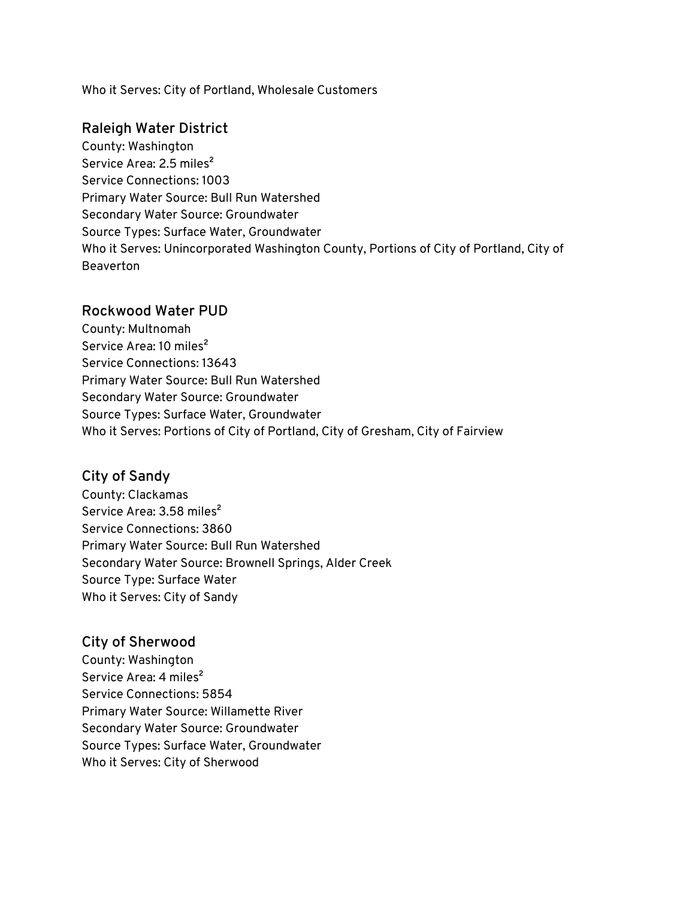Who it Serves: City of Portland, Wholesale Customers

#### **Raleigh Water District**

County: Washington Service Area: 2.5 miles<sup>2</sup> Service Connections: 1003 Primary Water Source: Bull Run Watershed Secondary Water Source: Groundwater Source Types: Surface Water, Groundwater Who it Serves: Unincorporated Washington County, Portions of City of Portland, City of Beaverton

#### **Rockwood Water PUD**

County: Multnomah Service Area: 10 miles<sup>2</sup> Service Connections: 13643 Primary Water Source: Bull Run Watershed Secondary Water Source: Groundwater Source Types: Surface Water, Groundwater Who it Serves: Portions of City of Portland, City of Gresham, City of Fairview

### **City of Sandy**

County: Clackamas Service Area: 3.58 miles<sup>2</sup> Service Connections: 3860 Primary Water Source: Bull Run Watershed Secondary Water Source: Brownell Springs, Alder Creek Source Type: Surface Water Who it Serves: City of Sandy

### **City of Sherwood**

County: Washington Service Area: 4 miles<sup>2</sup> Service Connections: 5854 Primary Water Source: Willamette River Secondary Water Source: Groundwater Source Types: Surface Water, Groundwater Who it Serves: City of Sherwood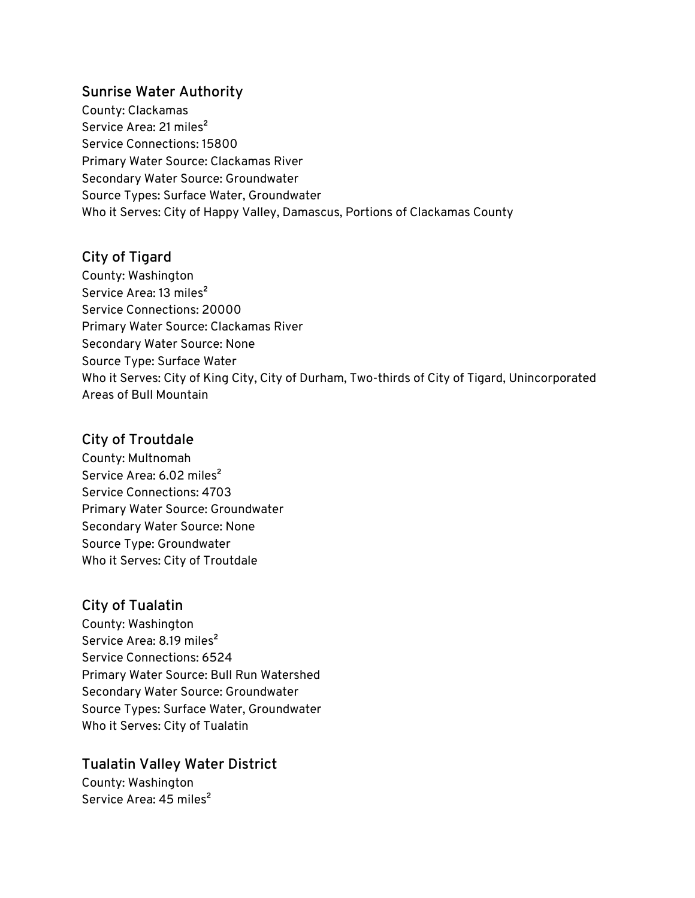#### **Sunrise Water Authority**

County: Clackamas Service Area: 21 miles<sup>2</sup> Service Connections: 15800 Primary Water Source: Clackamas River Secondary Water Source: Groundwater Source Types: Surface Water, Groundwater Who it Serves: City of Happy Valley, Damascus, Portions of Clackamas County

### **City of Tigard**

County: Washington Service Area: 13 miles<sup>2</sup> Service Connections: 20000 Primary Water Source: Clackamas River Secondary Water Source: None Source Type: Surface Water Who it Serves: City of King City, City of Durham, Two-thirds of City of Tigard, Unincorporated Areas of Bull Mountain

### **City of Troutdale**

County: Multnomah Service Area: 6.02 miles<sup>2</sup> Service Connections: 4703 Primary Water Source: Groundwater Secondary Water Source: None Source Type: Groundwater Who it Serves: City of Troutdale

### **City of Tualatin**

County: Washington Service Area: 8.19 miles<sup>2</sup> Service Connections: 6524 Primary Water Source: Bull Run Watershed Secondary Water Source: Groundwater Source Types: Surface Water, Groundwater Who it Serves: City of Tualatin

### **Tualatin Valley Water District**

County: Washington Service Area: 45 miles<sup>2</sup>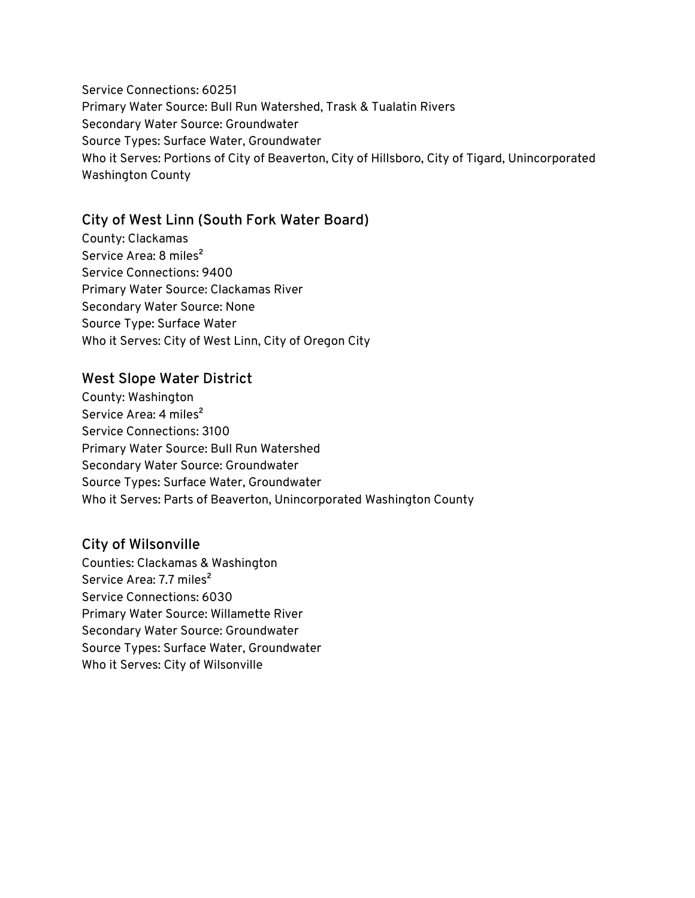Service Connections: 60251 Primary Water Source: Bull Run Watershed, Trask & Tualatin Rivers Secondary Water Source: Groundwater Source Types: Surface Water, Groundwater Who it Serves: Portions of City of Beaverton, City of Hillsboro, City of Tigard, Unincorporated Washington County

### **City of West Linn (South Fork Water Board)**

County: Clackamas Service Area: 8 miles<sup>2</sup> Service Connections: 9400 Primary Water Source: Clackamas River Secondary Water Source: None Source Type: Surface Water Who it Serves: City of West Linn, City of Oregon City

#### **West Slope Water District**

County: Washington Service Area: 4 miles<sup>2</sup> Service Connections: 3100 Primary Water Source: Bull Run Watershed Secondary Water Source: Groundwater Source Types: Surface Water, Groundwater Who it Serves: Parts of Beaverton, Unincorporated Washington County

### **City of Wilsonville**

Counties: Clackamas & Washington Service Area: 7.7 miles<sup>2</sup> Service Connections: 6030 Primary Water Source: Willamette River Secondary Water Source: Groundwater Source Types: Surface Water, Groundwater Who it Serves: City of Wilsonville